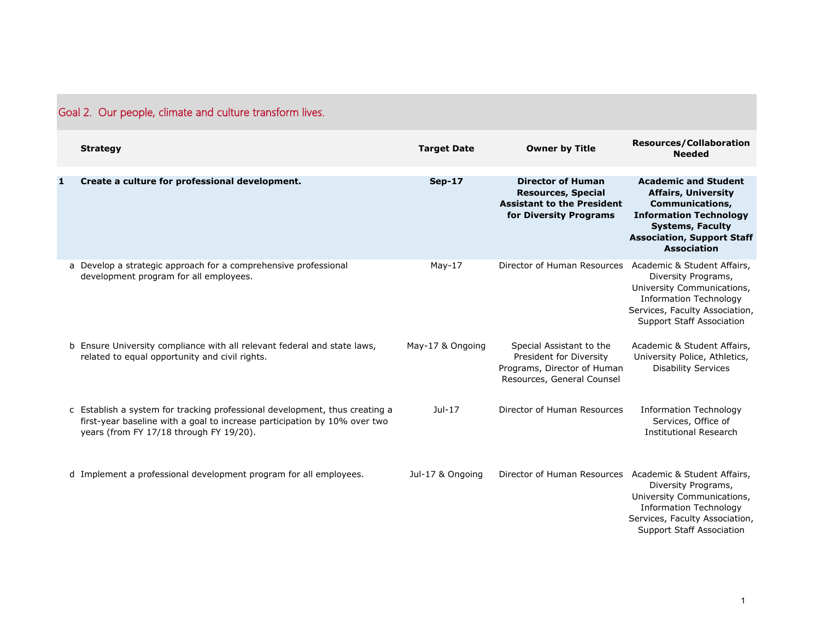| Goal 2. Our people, climate and culture transform lives. |
|----------------------------------------------------------|
|----------------------------------------------------------|

|   | <b>Strategy</b>                                                                                                                                                                                     | <b>Target Date</b> | <b>Owner by Title</b>                                                                                                | <b>Resources/Collaboration</b><br><b>Needed</b>                                                                                                                                                            |
|---|-----------------------------------------------------------------------------------------------------------------------------------------------------------------------------------------------------|--------------------|----------------------------------------------------------------------------------------------------------------------|------------------------------------------------------------------------------------------------------------------------------------------------------------------------------------------------------------|
| 1 | Create a culture for professional development.                                                                                                                                                      | <b>Sep-17</b>      | <b>Director of Human</b><br><b>Resources, Special</b><br><b>Assistant to the President</b><br>for Diversity Programs | <b>Academic and Student</b><br><b>Affairs, University</b><br><b>Communications,</b><br><b>Information Technology</b><br><b>Systems, Faculty</b><br><b>Association, Support Staff</b><br><b>Association</b> |
|   | a Develop a strategic approach for a comprehensive professional<br>development program for all employees.                                                                                           | $May-17$           | Director of Human Resources Academic & Student Affairs,                                                              | Diversity Programs,<br>University Communications,<br><b>Information Technology</b><br>Services, Faculty Association,<br><b>Support Staff Association</b>                                                   |
|   | b Ensure University compliance with all relevant federal and state laws,<br>related to equal opportunity and civil rights.                                                                          | May-17 & Ongoing   | Special Assistant to the<br>President for Diversity<br>Programs, Director of Human<br>Resources, General Counsel     | Academic & Student Affairs,<br>University Police, Athletics,<br><b>Disability Services</b>                                                                                                                 |
|   | c Establish a system for tracking professional development, thus creating a<br>first-year baseline with a goal to increase participation by 10% over two<br>years (from FY 17/18 through FY 19/20). | $Jul-17$           | Director of Human Resources                                                                                          | <b>Information Technology</b><br>Services, Office of<br><b>Institutional Research</b>                                                                                                                      |
|   | d Implement a professional development program for all employees.                                                                                                                                   | Jul-17 & Ongoing   | Director of Human Resources Academic & Student Affairs,                                                              | Diversity Programs,<br>University Communications,<br><b>Information Technology</b><br>Services, Faculty Association,<br><b>Support Staff Association</b>                                                   |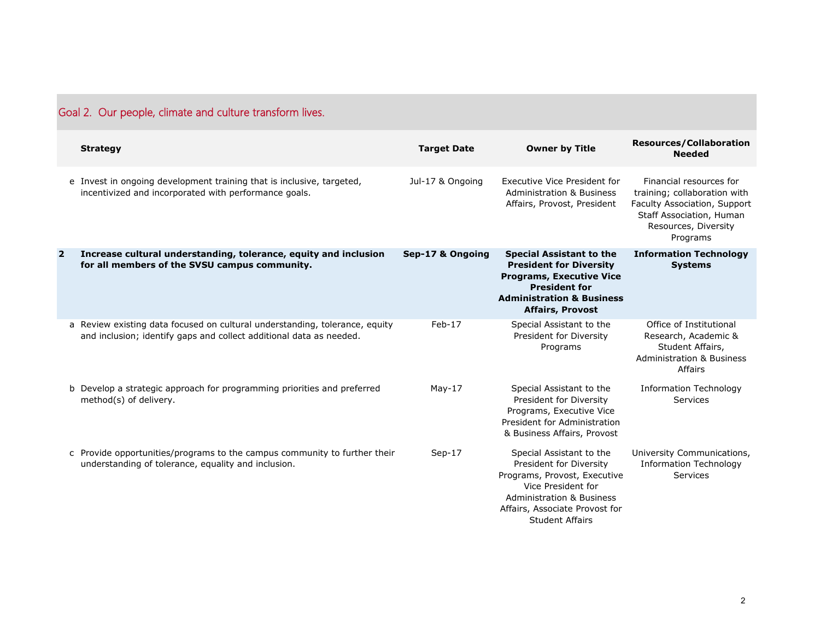| Goal 2. Our people, climate and culture transform lives. |                                                                                                                                                    |                    |                                                                                                                                                                                                               |                                                                                                                                                         |
|----------------------------------------------------------|----------------------------------------------------------------------------------------------------------------------------------------------------|--------------------|---------------------------------------------------------------------------------------------------------------------------------------------------------------------------------------------------------------|---------------------------------------------------------------------------------------------------------------------------------------------------------|
|                                                          | <b>Strategy</b>                                                                                                                                    | <b>Target Date</b> | <b>Owner by Title</b>                                                                                                                                                                                         | <b>Resources/Collaboration</b><br><b>Needed</b>                                                                                                         |
|                                                          | e Invest in ongoing development training that is inclusive, targeted,<br>incentivized and incorporated with performance goals.                     | Jul-17 & Ongoing   | Executive Vice President for<br><b>Administration &amp; Business</b><br>Affairs, Provost, President                                                                                                           | Financial resources for<br>training; collaboration with<br>Faculty Association, Support<br>Staff Association, Human<br>Resources, Diversity<br>Programs |
| $\overline{\mathbf{2}}$                                  | Increase cultural understanding, tolerance, equity and inclusion<br>for all members of the SVSU campus community.                                  | Sep-17 & Ongoing   | <b>Special Assistant to the</b><br><b>President for Diversity</b><br><b>Programs, Executive Vice</b><br><b>President for</b><br><b>Administration &amp; Business</b><br><b>Affairs, Provost</b>               | <b>Information Technology</b><br><b>Systems</b>                                                                                                         |
|                                                          | a Review existing data focused on cultural understanding, tolerance, equity<br>and inclusion; identify gaps and collect additional data as needed. | $Feb-17$           | Special Assistant to the<br>President for Diversity<br>Programs                                                                                                                                               | Office of Institutional<br>Research, Academic &<br>Student Affairs,<br><b>Administration &amp; Business</b><br>Affairs                                  |
|                                                          | b Develop a strategic approach for programming priorities and preferred<br>method(s) of delivery.                                                  | $May-17$           | Special Assistant to the<br>President for Diversity<br>Programs, Executive Vice<br>President for Administration<br>& Business Affairs, Provost                                                                | <b>Information Technology</b><br>Services                                                                                                               |
|                                                          | c Provide opportunities/programs to the campus community to further their<br>understanding of tolerance, equality and inclusion.                   | $Sep-17$           | Special Assistant to the<br>President for Diversity<br>Programs, Provost, Executive<br>Vice President for<br><b>Administration &amp; Business</b><br>Affairs, Associate Provost for<br><b>Student Affairs</b> | University Communications,<br><b>Information Technology</b><br><b>Services</b>                                                                          |

## Goal 2. Our people, climate and culture transform lives.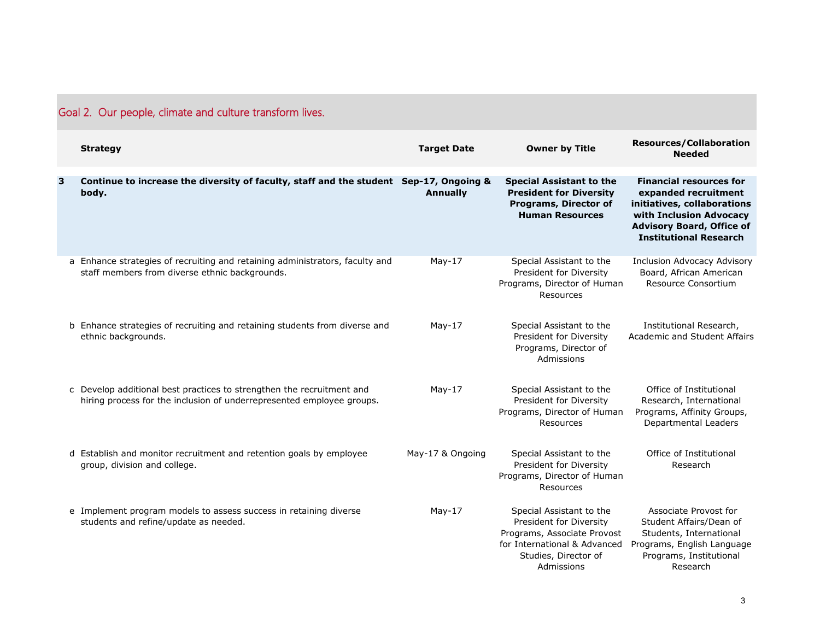| Goal 2. Our people, climate and culture transform lives. |                                                                                                                                                |                    |                                                                                                                                                          |                                                                                                                                                                                       |
|----------------------------------------------------------|------------------------------------------------------------------------------------------------------------------------------------------------|--------------------|----------------------------------------------------------------------------------------------------------------------------------------------------------|---------------------------------------------------------------------------------------------------------------------------------------------------------------------------------------|
|                                                          | <b>Strategy</b>                                                                                                                                | <b>Target Date</b> | <b>Owner by Title</b>                                                                                                                                    | <b>Resources/Collaboration</b><br><b>Needed</b>                                                                                                                                       |
| 3                                                        | Continue to increase the diversity of faculty, staff and the student Sep-17, Ongoing &<br>body.                                                | <b>Annually</b>    | <b>Special Assistant to the</b><br><b>President for Diversity</b><br>Programs, Director of<br><b>Human Resources</b>                                     | <b>Financial resources for</b><br>expanded recruitment<br>initiatives, collaborations<br>with Inclusion Advocacy<br><b>Advisory Board, Office of</b><br><b>Institutional Research</b> |
|                                                          | a Enhance strategies of recruiting and retaining administrators, faculty and<br>staff members from diverse ethnic backgrounds.                 | $May-17$           | Special Assistant to the<br>President for Diversity<br>Programs, Director of Human<br>Resources                                                          | Inclusion Advocacy Advisory<br>Board, African American<br>Resource Consortium                                                                                                         |
|                                                          | b Enhance strategies of recruiting and retaining students from diverse and<br>ethnic backgrounds.                                              | $May-17$           | Special Assistant to the<br>President for Diversity<br>Programs, Director of<br>Admissions                                                               | Institutional Research,<br>Academic and Student Affairs                                                                                                                               |
|                                                          | c Develop additional best practices to strengthen the recruitment and<br>hiring process for the inclusion of underrepresented employee groups. | $May-17$           | Special Assistant to the<br>President for Diversity<br>Programs, Director of Human<br>Resources                                                          | Office of Institutional<br>Research, International<br>Programs, Affinity Groups,<br>Departmental Leaders                                                                              |
|                                                          | d Establish and monitor recruitment and retention goals by employee<br>group, division and college.                                            | May-17 & Ongoing   | Special Assistant to the<br>President for Diversity<br>Programs, Director of Human<br>Resources                                                          | Office of Institutional<br>Research                                                                                                                                                   |
|                                                          | e Implement program models to assess success in retaining diverse<br>students and refine/update as needed.                                     | May-17             | Special Assistant to the<br>President for Diversity<br>Programs, Associate Provost<br>for International & Advanced<br>Studies, Director of<br>Admissions | Associate Provost for<br>Student Affairs/Dean of<br>Students, International<br>Programs, English Language<br>Programs, Institutional<br>Research                                      |